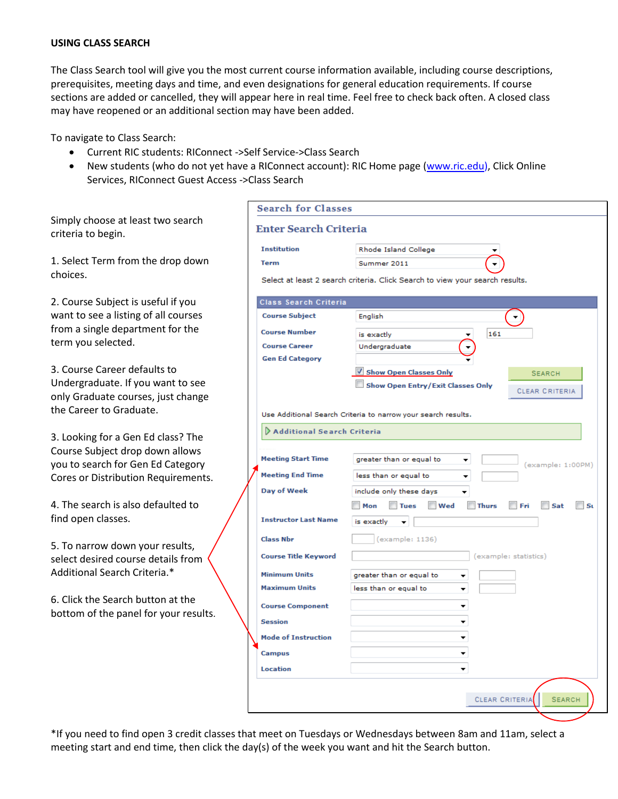## **USING CLASS SEARCH**

The Class Search tool will give you the most current course information available, including course descriptions, prerequisites, meeting days and time, and even designations for general education requirements. If course sections are added or cancelled, they will appear here in real time. Feel free to check back often. A closed class may have reopened or an additional section may have been added.

To navigate to Class Search:

- Current RIC students: RIConnect ‐>Self Service‐>Class Search
- New students (who do not yet have a RIConnect account): RIC Home page [\(www.ric.edu\)](http://www.ric.edu/), Click Online Services, RIConnect Guest Access ‐>Class Search

Simply choose at least two search criteria to begin.

1. Select Term from the drop down choices.

2. Course Subject is useful if you want to see a listing of all courses from a single department for the term you selected.

3. Course Career defaults to Undergraduate. If you want to see only Graduate courses, just change the Career to Graduate.

3. Looking for a Gen Ed class? The Course Subject drop down allows you to search for Gen Ed Category Cores or Distribution Requirements.

4. The search is also defaulted to find open classes.

5. To narrow down your results, select desired course details from Additional Search Criteria.\*

6. Click the Search button at the bottom of the panel for your results.

|                              | <b>Search for Classes</b>                                                    |                                                                  |  |  |  |  |  |  |  |  |
|------------------------------|------------------------------------------------------------------------------|------------------------------------------------------------------|--|--|--|--|--|--|--|--|
| <b>Enter Search Criteria</b> |                                                                              |                                                                  |  |  |  |  |  |  |  |  |
| <b>Institution</b>           |                                                                              | Rhode Island College                                             |  |  |  |  |  |  |  |  |
|                              | <b>Term</b>                                                                  | Summer 2011                                                      |  |  |  |  |  |  |  |  |
|                              | Select at least 2 search criteria. Click Search to view your search results. |                                                                  |  |  |  |  |  |  |  |  |
|                              | Class Search Criteria                                                        |                                                                  |  |  |  |  |  |  |  |  |
|                              | <b>Course Subject</b>                                                        | English                                                          |  |  |  |  |  |  |  |  |
|                              | <b>Course Number</b>                                                         | 161<br>is exactly                                                |  |  |  |  |  |  |  |  |
|                              | <b>Course Career</b>                                                         | Undergraduate                                                    |  |  |  |  |  |  |  |  |
|                              | <b>Gen Ed Category</b>                                                       |                                                                  |  |  |  |  |  |  |  |  |
|                              |                                                                              | Show Open Classes Only<br><b>SEARCH</b>                          |  |  |  |  |  |  |  |  |
|                              |                                                                              | Show Open Entry/Exit Classes Only<br><b>CLEAR CRITERIA</b>       |  |  |  |  |  |  |  |  |
|                              |                                                                              |                                                                  |  |  |  |  |  |  |  |  |
|                              |                                                                              | Use Additional Search Criteria to narrow your search results.    |  |  |  |  |  |  |  |  |
|                              | Additional Search Criteria                                                   |                                                                  |  |  |  |  |  |  |  |  |
|                              | <b>Meeting Start Time</b>                                                    | greater than or equal to<br>(example: 1:00PM)                    |  |  |  |  |  |  |  |  |
|                              | <b>Meeting End Time</b>                                                      | less than or equal to                                            |  |  |  |  |  |  |  |  |
|                              | <b>Day of Week</b>                                                           | include only these days                                          |  |  |  |  |  |  |  |  |
|                              |                                                                              | Tues Wed<br><b>Thurs</b><br>$\blacksquare$ Mon<br>F<br>Sat<br>Sτ |  |  |  |  |  |  |  |  |
|                              | <b>Instructor Last Name</b>                                                  | is exactly                                                       |  |  |  |  |  |  |  |  |
|                              | <b>Class Nbr</b>                                                             | (example: 1136)                                                  |  |  |  |  |  |  |  |  |
|                              | <b>Course Title Keyword</b>                                                  | (example: statistics)                                            |  |  |  |  |  |  |  |  |
|                              | <b>Minimum Units</b>                                                         | greater than or equal to                                         |  |  |  |  |  |  |  |  |
|                              | <b>Maximum Units</b>                                                         | less than or equal to                                            |  |  |  |  |  |  |  |  |
|                              | <b>Course Component</b>                                                      | ▼                                                                |  |  |  |  |  |  |  |  |
|                              | <b>Session</b>                                                               | ▼                                                                |  |  |  |  |  |  |  |  |
|                              | <b>Mode of Instruction</b>                                                   | ▼                                                                |  |  |  |  |  |  |  |  |
|                              | <b>Campus</b>                                                                | ٠                                                                |  |  |  |  |  |  |  |  |
|                              | <b>Location</b>                                                              |                                                                  |  |  |  |  |  |  |  |  |
|                              |                                                                              |                                                                  |  |  |  |  |  |  |  |  |
|                              |                                                                              | <b>SEARCH</b><br>CLEAR CRITERIA                                  |  |  |  |  |  |  |  |  |

\*If you need to find open 3 credit classes that meet on Tuesdays or Wednesdays between 8am and 11am, select a meeting start and end time, then click the day(s) of the week you want and hit the Search button.